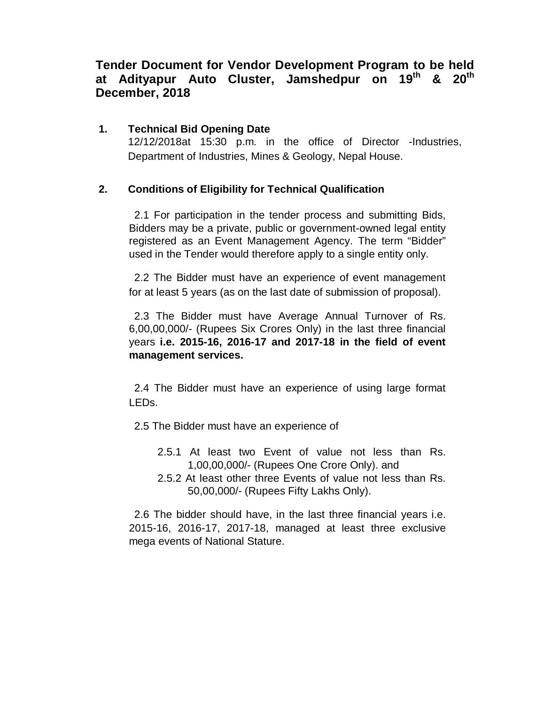## **Tender Document for Vendor Development Program to be held at Adityapur Auto Cluster, Jamshedpur on 19th & 20th December, 2018**

#### **1. Technical Bid Opening Date**

12/12/2018at 15:30 p.m. in the office of Director -Industries, Department of Industries, Mines & Geology, Nepal House.

#### **2. Conditions of Eligibility for Technical Qualification**

2.1 For participation in the tender process and submitting Bids, Bidders may be a private, public or government-owned legal entity registered as an Event Management Agency. The term "Bidder" used in the Tender would therefore apply to a single entity only.

2.2 The Bidder must have an experience of event management for at least 5 years (as on the last date of submission of proposal).

2.3 The Bidder must have Average Annual Turnover of Rs. 6,00,00,000/- (Rupees Six Crores Only) in the last three financial years **i.e. 2015-16, 2016-17 and 2017-18 in the field of event management services.**

2.4 The Bidder must have an experience of using large format LEDs.

- 2.5 The Bidder must have an experience of
	- 2.5.1 At least two Event of value not less than Rs. 1,00,00,000/- (Rupees One Crore Only). and
	- 2.5.2 At least other three Events of value not less than Rs. 50,00,000/- (Rupees Fifty Lakhs Only).

2.6 The bidder should have, in the last three financial years i.e. 2015-16, 2016-17, 2017-18, managed at least three exclusive mega events of National Stature.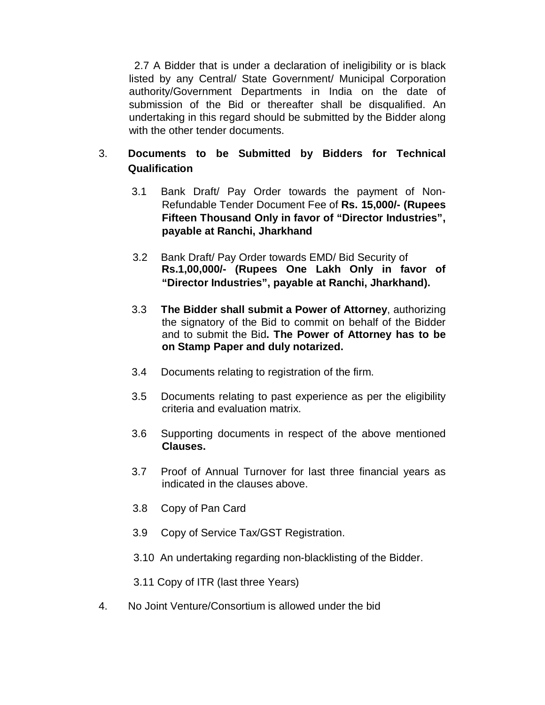2.7 A Bidder that is under a declaration of ineligibility or is black listed by any Central/ State Government/ Municipal Corporation authority/Government Departments in India on the date of submission of the Bid or thereafter shall be disqualified. An undertaking in this regard should be submitted by the Bidder along with the other tender documents.

## 3. **Documents to be Submitted by Bidders for Technical Qualification**

- 3.1 Bank Draft/ Pay Order towards the payment of Non-Refundable Tender Document Fee of **Rs. 15,000/- (Rupees Fifteen Thousand Only in favor of "Director Industries", payable at Ranchi, Jharkhand**
- 3.2 Bank Draft/ Pay Order towards EMD/ Bid Security of  **Rs.1,00,000/- (Rupees One Lakh Only in favor of "Director Industries", payable at Ranchi, Jharkhand).**
- 3.3 **The Bidder shall submit a Power of Attorney**, authorizing the signatory of the Bid to commit on behalf of the Bidder and to submit the Bid**. The Power of Attorney has to be on Stamp Paper and duly notarized.**
- 3.4 Documents relating to registration of the firm.
- 3.5 Documents relating to past experience as per the eligibility criteria and evaluation matrix.
- 3.6 Supporting documents in respect of the above mentioned **Clauses.**
- 3.7 Proof of Annual Turnover for last three financial years as indicated in the clauses above.
- 3.8 Copy of Pan Card
- 3.9 Copy of Service Tax/GST Registration.
- 3.10 An undertaking regarding non-blacklisting of the Bidder.

3.11 Copy of ITR (last three Years)

4. No Joint Venture/Consortium is allowed under the bid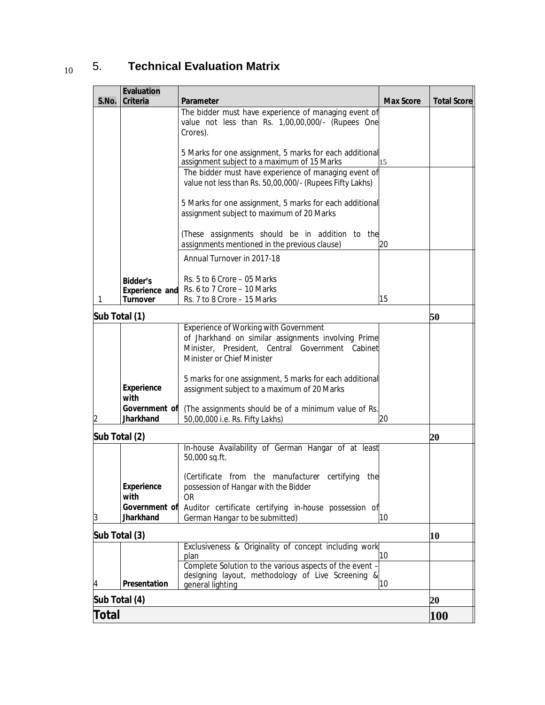| <b>Evaluation</b><br>S.No.<br><b>Criteria</b> | <b>Parameter</b>                                                                                                                                                                     | <b>Max Score</b> | <b>Total Score</b> |
|-----------------------------------------------|--------------------------------------------------------------------------------------------------------------------------------------------------------------------------------------|------------------|--------------------|
|                                               | The bidder must have experience of managing event of                                                                                                                                 |                  |                    |
|                                               | value not less than Rs. 1,00,00,000/- (Rupees One<br>Crores).                                                                                                                        |                  |                    |
|                                               |                                                                                                                                                                                      |                  |                    |
|                                               | 5 Marks for one assignment, 5 marks for each additional<br>assignment subject to a maximum of 15 Marks                                                                               | 15               |                    |
|                                               | The bidder must have experience of managing event of<br>value not less than Rs. 50,00,000/- (Rupees Fifty Lakhs)                                                                     |                  |                    |
|                                               | 5 Marks for one assignment, 5 marks for each additional<br>assignment subject to maximum of 20 Marks                                                                                 |                  |                    |
|                                               | (These assignments should be in addition to the<br>assignments mentioned in the previous clause)                                                                                     | 20               |                    |
|                                               | Annual Turnover in 2017-18                                                                                                                                                           |                  |                    |
| <b>Bidder's</b>                               | Rs. 5 to 6 Crore - 05 Marks<br>Rs. 6 to 7 Crore - 10 Marks                                                                                                                           |                  |                    |
| <b>Experience and</b><br><b>Turnover</b><br>1 | Rs. 7 to 8 Crore - 15 Marks                                                                                                                                                          | 15               |                    |
| Sub Total (1)                                 |                                                                                                                                                                                      |                  | 50                 |
|                                               | <b>Experience of Working with Government</b><br>of Jharkhand on similar assignments involving Prime<br>Minister, President, Central Government Cabinet<br>Minister or Chief Minister |                  |                    |
| <b>Experience</b><br>with                     | 5 marks for one assignment, 5 marks for each additional<br>assignment subject to a maximum of 20 Marks                                                                               |                  |                    |
| Government of<br><b>Jharkhand</b>             | (The assignments should be of a minimum value of Rs.<br>50,00,000 i.e. Rs. Fifty Lakhs)                                                                                              | 20               |                    |
| Sub Total (2)                                 |                                                                                                                                                                                      |                  | 20                 |
|                                               | In-house Availability of German Hangar of at least<br>50,000 sq.ft.                                                                                                                  |                  |                    |
| <b>Experience</b><br>with                     | (Certificate from the manufacturer certifying the<br>possession of Hangar with the Bidder<br>OR                                                                                      |                  |                    |
| Government of<br><b>Jharkhand</b><br>3        | Auditor certificate certifying in-house possession of<br>German Hangar to be submitted)                                                                                              | 10               |                    |
| Sub Total (3)                                 |                                                                                                                                                                                      |                  | 10                 |
|                                               | Exclusiveness & Originality of concept including work<br>plan                                                                                                                        | 10               |                    |
|                                               | Complete Solution to the various aspects of the event -                                                                                                                              |                  |                    |
|                                               | designing layout, methodology of Live Screening &                                                                                                                                    |                  |                    |
| <b>Presentation</b><br>4<br>Sub Total (4)     | general lighting                                                                                                                                                                     | 10               | 20                 |

# 10 5. **Technical Evaluation Matrix**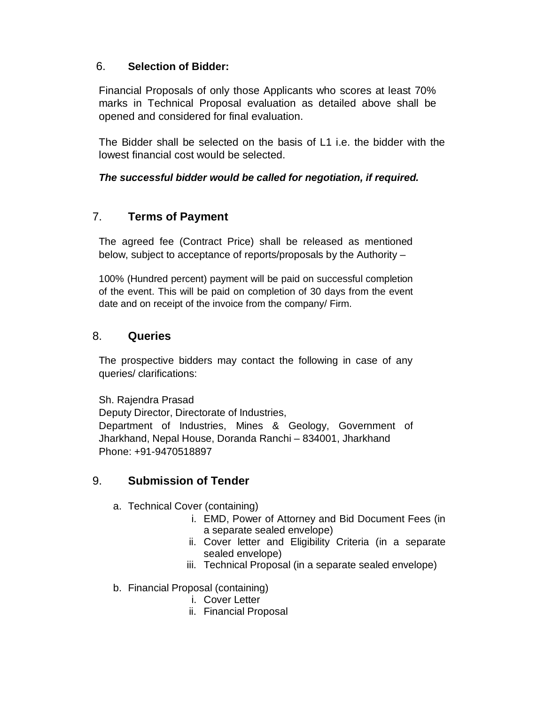### 6. **Selection of Bidder:**

Financial Proposals of only those Applicants who scores at least 70% marks in Technical Proposal evaluation as detailed above shall be opened and considered for final evaluation.

The Bidder shall be selected on the basis of L1 i.e. the bidder with the lowest financial cost would be selected.

#### *The successful bidder would be called for negotiation, if required.*

## 7. **Terms of Payment**

The agreed fee (Contract Price) shall be released as mentioned below, subject to acceptance of reports/proposals by the Authority –

100% (Hundred percent) payment will be paid on successful completion of the event. This will be paid on completion of 30 days from the event date and on receipt of the invoice from the company/ Firm.

### 8. **Queries**

The prospective bidders may contact the following in case of any queries/ clarifications:

Sh. Rajendra Prasad

Deputy Director, Directorate of Industries, Department of Industries, Mines & Geology, Government of Jharkhand, Nepal House, Doranda Ranchi – 834001, Jharkhand Phone: +91-9470518897

### 9. **Submission of Tender**

- a. Technical Cover (containing)
	- i. EMD, Power of Attorney and Bid Document Fees (in a separate sealed envelope)
	- ii. Cover letter and Eligibility Criteria (in a separate sealed envelope)
	- iii. Technical Proposal (in a separate sealed envelope)
- b. Financial Proposal (containing)
	- i. Cover Letter
	- ii. Financial Proposal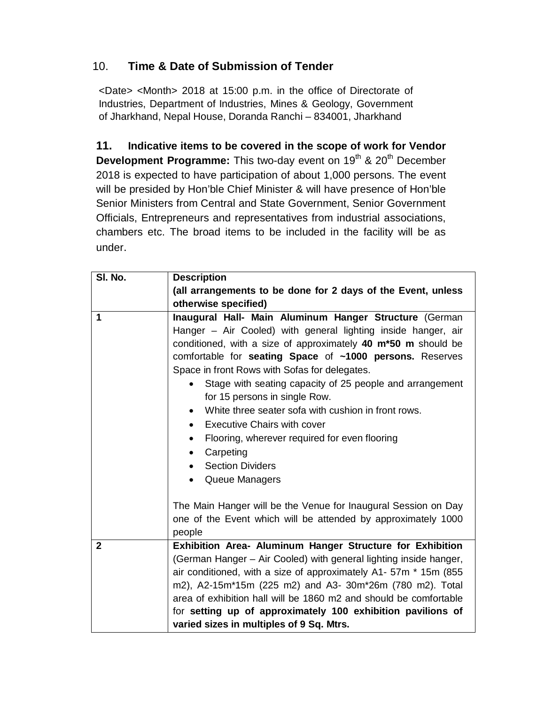## 10. **Time & Date of Submission of Tender**

<Date> <Month> 2018 at 15:00 p.m. in the office of Directorate of Industries, Department of Industries, Mines & Geology, Government of Jharkhand, Nepal House, Doranda Ranchi – 834001, Jharkhand

**11. Indicative items to be covered in the scope of work for Vendor Development Programme:** This two-day event on 19<sup>th</sup> & 20<sup>th</sup> December 2018 is expected to have participation of about 1,000 persons. The event will be presided by Hon'ble Chief Minister & will have presence of Hon'ble Senior Ministers from Central and State Government, Senior Government Officials, Entrepreneurs and representatives from industrial associations, chambers etc. The broad items to be included in the facility will be as under.

| SI. No.        | <b>Description</b>                                                                                                                                                                                                                                                                                                                                                                                                                                                                                                                                                                                                                                                          |
|----------------|-----------------------------------------------------------------------------------------------------------------------------------------------------------------------------------------------------------------------------------------------------------------------------------------------------------------------------------------------------------------------------------------------------------------------------------------------------------------------------------------------------------------------------------------------------------------------------------------------------------------------------------------------------------------------------|
|                | (all arrangements to be done for 2 days of the Event, unless                                                                                                                                                                                                                                                                                                                                                                                                                                                                                                                                                                                                                |
|                | otherwise specified)                                                                                                                                                                                                                                                                                                                                                                                                                                                                                                                                                                                                                                                        |
| 1              | Inaugural Hall- Main Aluminum Hanger Structure (German<br>Hanger - Air Cooled) with general lighting inside hanger, air<br>conditioned, with a size of approximately 40 m*50 m should be<br>comfortable for seating Space of ~1000 persons. Reserves<br>Space in front Rows with Sofas for delegates.<br>Stage with seating capacity of 25 people and arrangement<br>$\bullet$<br>for 15 persons in single Row.<br>White three seater sofa with cushion in front rows.<br>$\bullet$<br><b>Executive Chairs with cover</b><br>$\bullet$<br>Flooring, wherever required for even flooring<br>$\bullet$<br>Carpeting<br>$\bullet$<br><b>Section Dividers</b><br>Queue Managers |
|                | The Main Hanger will be the Venue for Inaugural Session on Day<br>one of the Event which will be attended by approximately 1000<br>people                                                                                                                                                                                                                                                                                                                                                                                                                                                                                                                                   |
| $\overline{2}$ | Exhibition Area- Aluminum Hanger Structure for Exhibition                                                                                                                                                                                                                                                                                                                                                                                                                                                                                                                                                                                                                   |
|                | (German Hanger – Air Cooled) with general lighting inside hanger,<br>air conditioned, with a size of approximately A1- 57m * 15m (855<br>m2), A2-15m*15m (225 m2) and A3- 30m*26m (780 m2). Total<br>area of exhibition hall will be 1860 m2 and should be comfortable<br>for setting up of approximately 100 exhibition pavilions of<br>varied sizes in multiples of 9 Sq. Mtrs.                                                                                                                                                                                                                                                                                           |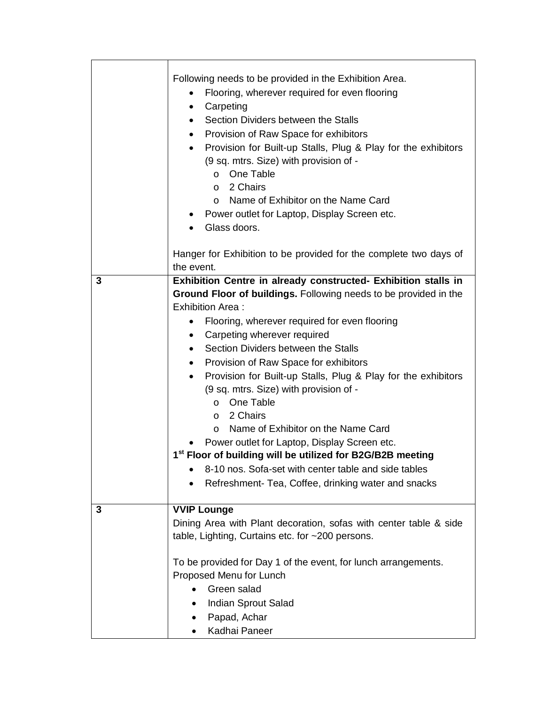|   | Following needs to be provided in the Exhibition Area.<br>Flooring, wherever required for even flooring<br>Carpeting<br>Section Dividers between the Stalls<br>$\bullet$<br>Provision of Raw Space for exhibitors<br>$\bullet$<br>Provision for Built-up Stalls, Plug & Play for the exhibitors<br>$\bullet$<br>(9 sq. mtrs. Size) with provision of -<br>One Table<br>$\circ$<br>2 Chairs<br>O<br>Name of Exhibitor on the Name Card<br>$\circ$<br>Power outlet for Laptop, Display Screen etc.<br>Glass doors.                                                                                                                                                                                                                                                                                                                      |
|---|---------------------------------------------------------------------------------------------------------------------------------------------------------------------------------------------------------------------------------------------------------------------------------------------------------------------------------------------------------------------------------------------------------------------------------------------------------------------------------------------------------------------------------------------------------------------------------------------------------------------------------------------------------------------------------------------------------------------------------------------------------------------------------------------------------------------------------------|
|   | Hanger for Exhibition to be provided for the complete two days of<br>the event.                                                                                                                                                                                                                                                                                                                                                                                                                                                                                                                                                                                                                                                                                                                                                       |
| 3 | Exhibition Centre in already constructed- Exhibition stalls in<br>Ground Floor of buildings. Following needs to be provided in the<br><b>Exhibition Area:</b><br>Flooring, wherever required for even flooring<br>Carpeting wherever required<br>$\bullet$<br>Section Dividers between the Stalls<br>$\bullet$<br>Provision of Raw Space for exhibitors<br>$\bullet$<br>Provision for Built-up Stalls, Plug & Play for the exhibitors<br>$\bullet$<br>(9 sq. mtrs. Size) with provision of -<br>One Table<br>$\circ$<br>2 Chairs<br>$\circ$<br>Name of Exhibitor on the Name Card<br>$\circ$<br>Power outlet for Laptop, Display Screen etc.<br>1 <sup>st</sup> Floor of building will be utilized for B2G/B2B meeting<br>8-10 nos. Sofa-set with center table and side tables<br>Refreshment- Tea, Coffee, drinking water and snacks |
| 3 | <b>VVIP Lounge</b><br>Dining Area with Plant decoration, sofas with center table & side<br>table, Lighting, Curtains etc. for ~200 persons.<br>To be provided for Day 1 of the event, for lunch arrangements.<br>Proposed Menu for Lunch<br>Green salad<br>Indian Sprout Salad<br>Papad, Achar<br>Kadhai Paneer                                                                                                                                                                                                                                                                                                                                                                                                                                                                                                                       |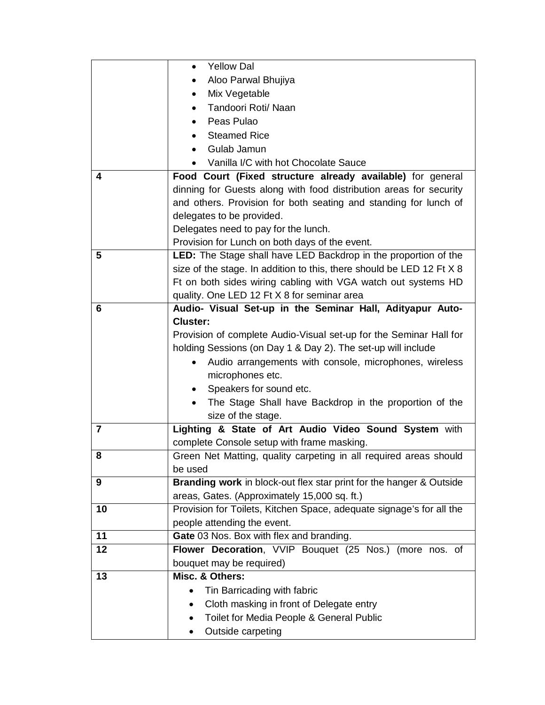|                | <b>Yellow Dal</b>                                                     |
|----------------|-----------------------------------------------------------------------|
|                | Aloo Parwal Bhujiya                                                   |
|                | Mix Vegetable                                                         |
|                | Tandoori Roti/ Naan                                                   |
|                | Peas Pulao                                                            |
|                | <b>Steamed Rice</b>                                                   |
|                | Gulab Jamun<br>$\bullet$                                              |
|                | Vanilla I/C with hot Chocolate Sauce                                  |
| 4              | Food Court (Fixed structure already available) for general            |
|                | dinning for Guests along with food distribution areas for security    |
|                | and others. Provision for both seating and standing for lunch of      |
|                | delegates to be provided.                                             |
|                | Delegates need to pay for the lunch.                                  |
|                | Provision for Lunch on both days of the event.                        |
| 5              | LED: The Stage shall have LED Backdrop in the proportion of the       |
|                | size of the stage. In addition to this, there should be LED 12 Ft X 8 |
|                | Ft on both sides wiring cabling with VGA watch out systems HD         |
|                | quality. One LED 12 Ft X 8 for seminar area                           |
| 6              | Audio- Visual Set-up in the Seminar Hall, Adityapur Auto-             |
|                | <b>Cluster:</b>                                                       |
|                | Provision of complete Audio-Visual set-up for the Seminar Hall for    |
|                | holding Sessions (on Day 1 & Day 2). The set-up will include          |
|                | Audio arrangements with console, microphones, wireless<br>$\bullet$   |
|                | microphones etc.                                                      |
|                | Speakers for sound etc.<br>$\bullet$                                  |
|                | The Stage Shall have Backdrop in the proportion of the                |
|                | size of the stage.                                                    |
| $\overline{7}$ | Lighting & State of Art Audio Video Sound System with                 |
|                | complete Console setup with frame masking.                            |
| 8              | Green Net Matting, quality carpeting in all required areas should     |
|                | be used                                                               |
| 9              | Branding work in block-out flex star print for the hanger & Outside   |
|                | areas, Gates. (Approximately 15,000 sq. ft.)                          |
| 10             | Provision for Toilets, Kitchen Space, adequate signage's for all the  |
|                | people attending the event.                                           |
| 11             | Gate 03 Nos. Box with flex and branding.                              |
| 12             | Flower Decoration, VVIP Bouquet (25 Nos.) (more nos. of               |
|                | bouquet may be required)                                              |
| 13             | Misc. & Others:                                                       |
|                | Tin Barricading with fabric                                           |
|                | Cloth masking in front of Delegate entry<br>$\bullet$                 |
|                | Toilet for Media People & General Public                              |
|                | Outside carpeting                                                     |